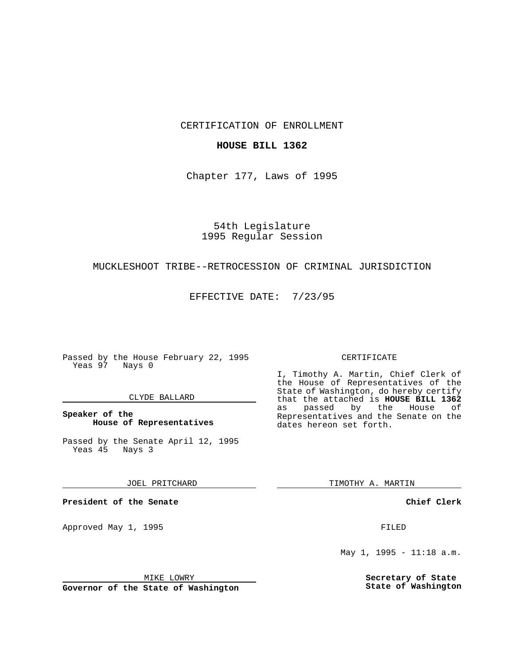CERTIFICATION OF ENROLLMENT

## **HOUSE BILL 1362**

Chapter 177, Laws of 1995

54th Legislature 1995 Regular Session

# MUCKLESHOOT TRIBE--RETROCESSION OF CRIMINAL JURISDICTION

EFFECTIVE DATE: 7/23/95

Passed by the House February 22, 1995 Yeas 97 Nays 0

### CLYDE BALLARD

**Speaker of the House of Representatives**

Passed by the Senate April 12, 1995<br>Yeas 45 Nays 3 Yeas 45

JOEL PRITCHARD

**President of the Senate**

Approved May 1, 1995 **FILED** 

MIKE LOWRY

**Governor of the State of Washington**

#### CERTIFICATE

I, Timothy A. Martin, Chief Clerk of the House of Representatives of the State of Washington, do hereby certify that the attached is **HOUSE BILL 1362** as passed by the Representatives and the Senate on the dates hereon set forth.

TIMOTHY A. MARTIN

**Chief Clerk**

May 1, 1995 - 11:18 a.m.

**Secretary of State State of Washington**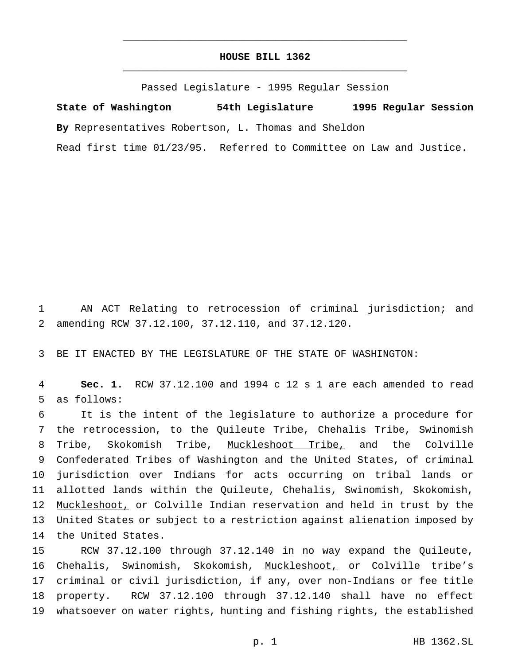# **HOUSE BILL 1362** \_\_\_\_\_\_\_\_\_\_\_\_\_\_\_\_\_\_\_\_\_\_\_\_\_\_\_\_\_\_\_\_\_\_\_\_\_\_\_\_\_\_\_\_\_\_\_

\_\_\_\_\_\_\_\_\_\_\_\_\_\_\_\_\_\_\_\_\_\_\_\_\_\_\_\_\_\_\_\_\_\_\_\_\_\_\_\_\_\_\_\_\_\_\_

Passed Legislature - 1995 Regular Session

**State of Washington 54th Legislature 1995 Regular Session By** Representatives Robertson, L. Thomas and Sheldon

Read first time 01/23/95. Referred to Committee on Law and Justice.

 AN ACT Relating to retrocession of criminal jurisdiction; and amending RCW 37.12.100, 37.12.110, and 37.12.120.

BE IT ENACTED BY THE LEGISLATURE OF THE STATE OF WASHINGTON:

 **Sec. 1.** RCW 37.12.100 and 1994 c 12 s 1 are each amended to read as follows:

 It is the intent of the legislature to authorize a procedure for the retrocession, to the Quileute Tribe, Chehalis Tribe, Swinomish Tribe, Skokomish Tribe, Muckleshoot Tribe, and the Colville Confederated Tribes of Washington and the United States, of criminal jurisdiction over Indians for acts occurring on tribal lands or allotted lands within the Quileute, Chehalis, Swinomish, Skokomish, Muckleshoot, or Colville Indian reservation and held in trust by the United States or subject to a restriction against alienation imposed by the United States.

 RCW 37.12.100 through 37.12.140 in no way expand the Quileute, 16 Chehalis, Swinomish, Skokomish, Muckleshoot, or Colville tribe's criminal or civil jurisdiction, if any, over non-Indians or fee title property. RCW 37.12.100 through 37.12.140 shall have no effect whatsoever on water rights, hunting and fishing rights, the established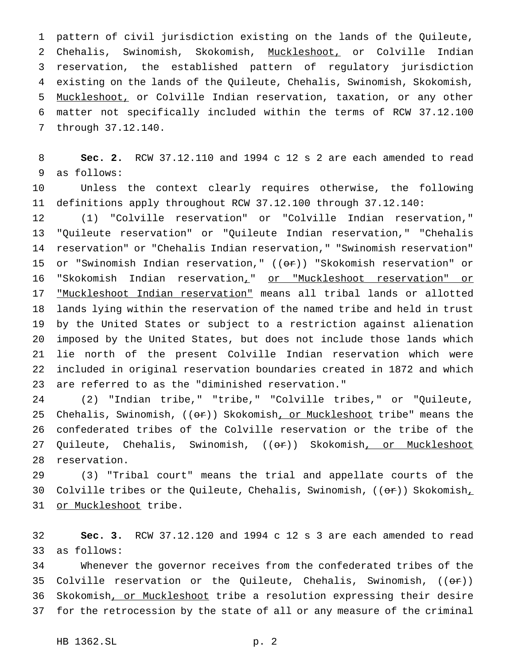pattern of civil jurisdiction existing on the lands of the Quileute, Chehalis, Swinomish, Skokomish, Muckleshoot, or Colville Indian reservation, the established pattern of regulatory jurisdiction existing on the lands of the Quileute, Chehalis, Swinomish, Skokomish, 5 Muckleshoot, or Colville Indian reservation, taxation, or any other matter not specifically included within the terms of RCW 37.12.100 through 37.12.140.

 **Sec. 2.** RCW 37.12.110 and 1994 c 12 s 2 are each amended to read as follows:

 Unless the context clearly requires otherwise, the following definitions apply throughout RCW 37.12.100 through 37.12.140:

 (1) "Colville reservation" or "Colville Indian reservation," "Quileute reservation" or "Quileute Indian reservation," "Chehalis reservation" or "Chehalis Indian reservation," "Swinomish reservation" 15 or "Swinomish Indian reservation,"  $((\theta \cdot \hat{r}))$  "Skokomish reservation" or 16 "Skokomish Indian reservation<sub>1</sub>" or "Muckleshoot reservation" or "Muckleshoot Indian reservation" means all tribal lands or allotted lands lying within the reservation of the named tribe and held in trust by the United States or subject to a restriction against alienation imposed by the United States, but does not include those lands which lie north of the present Colville Indian reservation which were included in original reservation boundaries created in 1872 and which are referred to as the "diminished reservation."

 (2) "Indian tribe," "tribe," "Colville tribes," or "Quileute, 25 Chehalis, Swinomish,  $((e^*)$ ) Skokomish, or Muckleshoot tribe" means the confederated tribes of the Colville reservation or the tribe of the 27 Quileute, Chehalis, Swinomish, ((<del>or</del>)) Skokomish<u>, or Muckleshoot</u> reservation.

 (3) "Tribal court" means the trial and appellate courts of the 30 Colville tribes or the Quileute, Chehalis, Swinomish,  $((\theta \cdot \hat{r}))$  Skokomish, 31 or Muckleshoot tribe.

 **Sec. 3.** RCW 37.12.120 and 1994 c 12 s 3 are each amended to read as follows:

 Whenever the governor receives from the confederated tribes of the 35 Colville reservation or the Quileute, Chehalis, Swinomish,  $((\theta \cdot \hat{r}))$  Skokomish, or Muckleshoot tribe a resolution expressing their desire for the retrocession by the state of all or any measure of the criminal